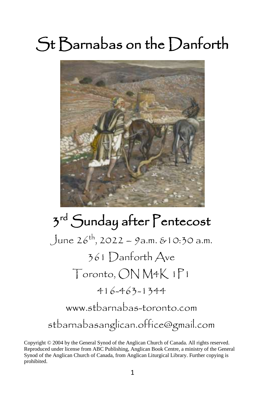# St Barnabas on the Danforth



# 3<sup>rd</sup> Sunday after Pentecost  $J$ une 26<sup>th</sup>, 2022 – 9a.m. &10:30 a.m. 361 Danforth Ave Toronto, ON M4K 1P1 416-463-1344 [www.stbarnabas-toronto.com](http://www.stbarnabas-toronto.com/) stbarnabasanglican.office@gmail.com

Copyright © 2004 by the General Synod of the Anglican Church of Canada. All rights reserved. Reproduced under license from ABC Publishing, Anglican Book Centre, a ministry of the General Synod of the Anglican Church of Canada, from Anglican Liturgical Library. Further copying is prohibited.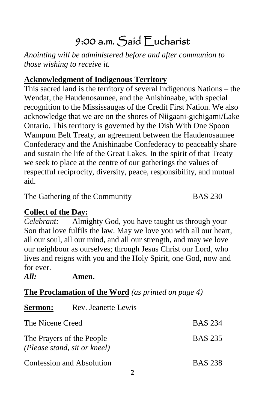# 9:00 a.m. Said Eucharist

*Anointing will be administered before and after communion to those wishing to receive it.*

# **Acknowledgment of Indigenous Territory**

This sacred land is the territory of several Indigenous Nations – the Wendat, the Haudenosaunee, and the Anishinaabe, with special recognition to the Mississaugas of the Credit First Nation. We also acknowledge that we are on the shores of Niigaani-gichigami/Lake Ontario. This territory is governed by the Dish With One Spoon Wampum Belt Treaty, an agreement between the Haudenosaunee Confederacy and the Anishinaabe Confederacy to peaceably share and sustain the life of the Great Lakes. In the spirit of that Treaty we seek to place at the centre of our gatherings the values of respectful reciprocity, diversity, peace, responsibility, and mutual aid.

The Gathering of the Community BAS 230

## **Collect of the Day:**

*Celebrant:* Almighty God, you have taught us through your Son that love fulfils the law. May we love you with all our heart, all our soul, all our mind, and all our strength, and may we love our neighbour as ourselves; through Jesus Christ our Lord, who lives and reigns with you and the Holy Spirit, one God, now and for ever.

*All:* **Amen.**

| <b>The Proclamation of the Word</b> (as printed on page 4) |  |  |
|------------------------------------------------------------|--|--|
|                                                            |  |  |

| <b>Sermon:</b>   | Rev. Jeanette Lewis                                       |                |
|------------------|-----------------------------------------------------------|----------------|
| The Nicene Creed |                                                           | <b>BAS 234</b> |
|                  | The Prayers of the People<br>(Please stand, sit or kneel) | <b>BAS 235</b> |
|                  | Confession and Absolution                                 | <b>BAS 238</b> |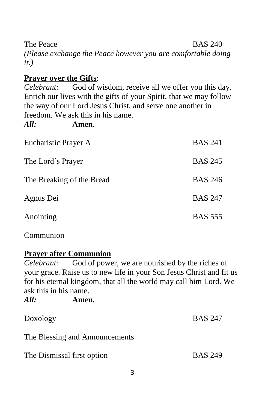The Peace BAS 240 *(Please exchange the Peace however you are comfortable doing it.)*

#### **Prayer over the Gifts**:

*Celebrant:* God of wisdom, receive all we offer you this day. Enrich our lives with the gifts of your Spirit, that we may follow the way of our Lord Jesus Christ, and serve one another in freedom. We ask this in his name.

*All:* **Amen**.

| Eucharistic Prayer A      | <b>BAS 241</b> |
|---------------------------|----------------|
| The Lord's Prayer         | <b>BAS 245</b> |
| The Breaking of the Bread | <b>BAS 246</b> |
| Agnus Dei                 | <b>BAS 247</b> |
| Anointing                 | <b>BAS 555</b> |

Communion

#### **Prayer after Communion**

*Celebrant:* God of power, we are nourished by the riches of your grace. Raise us to new life in your Son Jesus Christ and fit us for his eternal kingdom, that all the world may call him Lord. We ask this in his name. *All:* **Amen.** 

| Au.                        | лшен.                          |                |
|----------------------------|--------------------------------|----------------|
| Doxology                   |                                | <b>BAS 247</b> |
|                            | The Blessing and Announcements |                |
| The Dismissal first option |                                | <b>BAS 249</b> |
|                            |                                |                |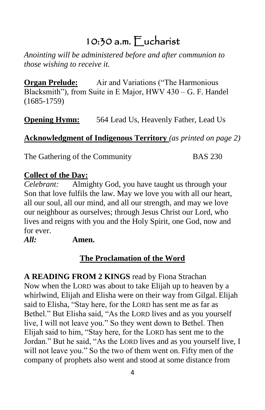# 10:30 a.m. Eucharist

*Anointing will be administered before and after communion to those wishing to receive it.*

**Organ Prelude:** Air and Variations ("The Harmonious Blacksmith"), from Suite in E Major, HWV 430 – G. F. Handel (1685-1759)

**Opening Hymn:** 564 Lead Us, Heavenly Father, Lead Us

## **Acknowledgment of Indigenous Territory** *(as printed on page 2)*

The Gathering of the Community BAS 230

#### **Collect of the Day:**

*Celebrant:* Almighty God, you have taught us through your Son that love fulfils the law. May we love you with all our heart, all our soul, all our mind, and all our strength, and may we love our neighbour as ourselves; through Jesus Christ our Lord, who lives and reigns with you and the Holy Spirit, one God, now and for ever.

#### *All:* **Amen.**

# **The Proclamation of the Word**

**A READING FROM 2 KINGS** read by Fiona Strachan Now when the LORD was about to take Elijah up to heaven by a whirlwind, Elijah and Elisha were on their way from Gilgal. Elijah said to Elisha, "Stay here, for the LORD has sent me as far as Bethel." But Elisha said, "As the LORD lives and as you yourself live, I will not leave you." So they went down to Bethel. Then Elijah said to him, "Stay here, for the LORD has sent me to the Jordan." But he said, "As the LORD lives and as you yourself live, I will not leave you." So the two of them went on. Fifty men of the company of prophets also went and stood at some distance from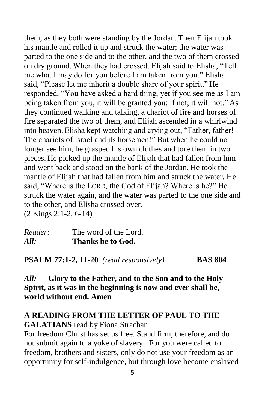them, as they both were standing by the Jordan. Then Elijah took his mantle and rolled it up and struck the water; the water was parted to the one side and to the other, and the two of them crossed on dry ground. When they had crossed, Elijah said to Elisha, "Tell me what I may do for you before I am taken from you." Elisha said, "Please let me inherit a double share of your spirit." He responded, "You have asked a hard thing, yet if you see me as I am being taken from you, it will be granted you; if not, it will not." As they continued walking and talking, a chariot of fire and horses of fire separated the two of them, and Elijah ascended in a whirlwind into heaven. Elisha kept watching and crying out, "Father, father! The chariots of Israel and its horsemen!" But when he could no longer see him, he grasped his own clothes and tore them in two pieces. He picked up the mantle of Elijah that had fallen from him and went back and stood on the bank of the Jordan. He took the mantle of Elijah that had fallen from him and struck the water. He said, "Where is the LORD, the God of Elijah? Where is he?" He struck the water again, and the water was parted to the one side and to the other, and Elisha crossed over. (2 Kings 2:1-2, 6-14)

*Reader:* The word of the Lord. *All:* **Thanks be to God.**

**PSALM 77:1-2, 11-20** *(read responsively)* **BAS 804**

#### *All:* **Glory to the Father, and to the Son and to the Holy Spirit, as it was in the beginning is now and ever shall be, world without end. Amen**

#### **A READING FROM THE LETTER OF PAUL TO THE GALATIANS** read by Fiona Strachan

For freedom Christ has set us free. Stand firm, therefore, and do not submit again to a yoke of slavery. For you were called to freedom, brothers and sisters, only do not use your freedom as an opportunity for self-indulgence, but through love become enslaved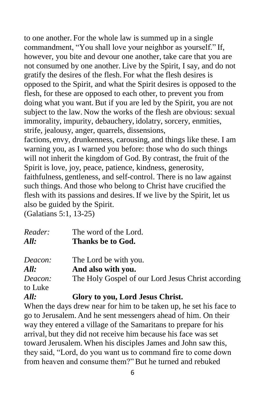to one another. For the whole law is summed up in a single commandment, "You shall love your neighbor as yourself." If, however, you bite and devour one another, take care that you are not consumed by one another. Live by the Spirit, I say, and do not gratify the desires of the flesh. For what the flesh desires is opposed to the Spirit, and what the Spirit desires is opposed to the flesh, for these are opposed to each other, to prevent you from doing what you want. But if you are led by the Spirit, you are not subject to the law. Now the works of the flesh are obvious: sexual immorality, impurity, debauchery, idolatry, sorcery, enmities, strife, jealousy, anger, quarrels, dissensions,

factions, envy, drunkenness, carousing, and things like these. I am warning you, as I warned you before: those who do such things will not inherit the kingdom of God. By contrast, the fruit of the Spirit is love, joy, peace, patience, kindness, generosity, faithfulness, gentleness, and self-control. There is no law against such things. And those who belong to Christ have crucified the flesh with its passions and desires. If we live by the Spirit, let us also be guided by the Spirit.

(Galatians 5:1, 13-25)

| Reader:<br>All: | The word of the Lord.<br>Thanks be to God.         |
|-----------------|----------------------------------------------------|
| Deacon:         | The Lord be with you.                              |
| All:            | And also with you.                                 |
| Deacon:         | The Holy Gospel of our Lord Jesus Christ according |
| to Luke         |                                                    |

*All:* **Glory to you, Lord Jesus Christ.**

When the days drew near for him to be taken up, he set his face to go to Jerusalem. And he sent messengers ahead of him. On their way they entered a village of the Samaritans to prepare for his arrival, but they did not receive him because his face was set toward Jerusalem. When his disciples James and John saw this, they said, "Lord, do you want us to command fire to come down from heaven and consume them?" But he turned and rebuked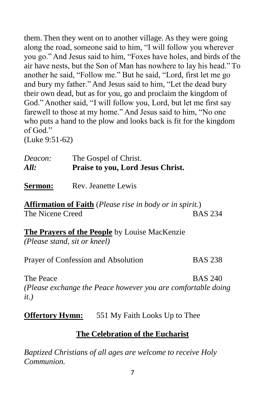them. Then they went on to another village. As they were going along the road, someone said to him, "I will follow you wherever you go." And Jesus said to him, "Foxes have holes, and birds of the air have nests, but the Son of Man has nowhere to lay his head." To another he said, "Follow me." But he said, "Lord, first let me go and bury my father." And Jesus said to him, "Let the dead bury their own dead, but as for you, go and proclaim the kingdom of God." Another said, "I will follow you, Lord, but let me first say farewell to those at my home." And Jesus said to him, "No one who puts a hand to the plow and looks back is fit for the kingdom of God."

(Luke 9:51-62)

| Deacon: | The Gospel of Christ.             |
|---------|-----------------------------------|
| All:    | Praise to you, Lord Jesus Christ. |

**Sermon:** Rev. Jeanette Lewis

**Affirmation of Faith** (*Please rise in body or in spirit.*) The Nicene Creed BAS 234

**The Prayers of the People** by Louise MacKenzie *(Please stand, sit or kneel)*

Prayer of Confession and Absolution BAS 238

The Peace BAS 240

*(Please exchange the Peace however you are comfortable doing it.)*

**Offertory Hymn:** 551 My Faith Looks Up to Thee

#### **The Celebration of the Eucharist**

*Baptized Christians of all ages are welcome to receive Holy Communion.*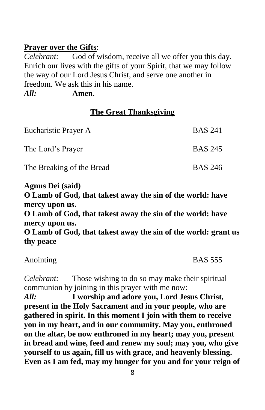#### **Prayer over the Gifts**:

*Celebrant:* God of wisdom, receive all we offer you this day. Enrich our lives with the gifts of your Spirit, that we may follow the way of our Lord Jesus Christ, and serve one another in freedom. We ask this in his name. *All:* **Amen**.

#### **The Great Thanksgiving**

| Eucharistic Prayer A      | <b>BAS 241</b> |
|---------------------------|----------------|
| The Lord's Prayer         | <b>BAS 245</b> |
| The Breaking of the Bread | <b>BAS 246</b> |

**Agnus Dei (said) O Lamb of God, that takest away the sin of the world: have mercy upon us. O Lamb of God, that takest away the sin of the world: have mercy upon us. O Lamb of God, that takest away the sin of the world: grant us thy peace**

| Anointing |  |
|-----------|--|
|           |  |

 $BAS$  555

*Celebrant:* Those wishing to do so may make their spiritual communion by joining in this prayer with me now:

*All:* **I worship and adore you, Lord Jesus Christ, present in the Holy Sacrament and in your people, who are gathered in spirit. In this moment I join with them to receive you in my heart, and in our community. May you, enthroned on the altar, be now enthroned in my heart; may you, present in bread and wine, feed and renew my soul; may you, who give yourself to us again, fill us with grace, and heavenly blessing. Even as I am fed, may my hunger for you and for your reign of**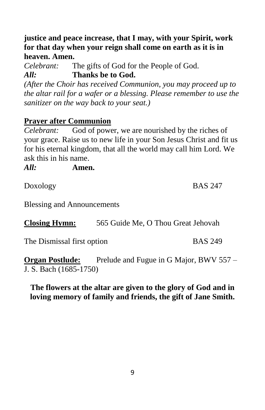9

**justice and peace increase, that I may, with your Spirit, work for that day when your reign shall come on earth as it is in heaven. Amen.**

*Celebrant:* The gifts of God for the People of God. *All:* **Thanks be to God.**

*(After the Choir has received Communion, you may proceed up to the altar rail for a wafer or a blessing. Please remember to use the sanitizer on the way back to your seat.)*

# **Prayer after Communion**

*Celebrant:* God of power, we are nourished by the riches of your grace. Raise us to new life in your Son Jesus Christ and fit us for his eternal kingdom, that all the world may call him Lord. We ask this in his name.

*All:* **Amen.** 

Doxology BAS 247

Blessing and Announcements

**Closing Hymn:** 565 Guide Me, O Thou Great Jehovah

The Dismissal first option BAS 249

**Organ Postlude:** Prelude and Fugue in G Major, BWV 557 – J. S. Bach (1685-1750)

#### **The flowers at the altar are given to the glory of God and in loving memory of family and friends, the gift of Jane Smith.**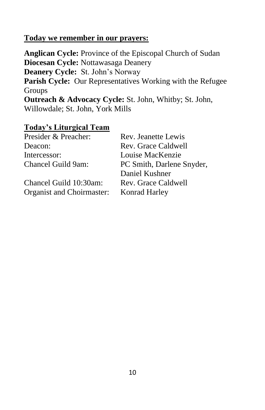#### **Today we remember in our prayers:**

**Anglican Cycle:** Province of the Episcopal Church of Sudan **Diocesan Cycle:** Nottawasaga Deanery **Deanery Cycle:** St. John's Norway **Parish Cycle:** Our Representatives Working with the Refugee Groups **Outreach & Advocacy Cycle:** St. John, Whitby; St. John, Willowdale; St. John, York Mills

#### **Today's Liturgical Team**

| Presider & Preacher:      | Rev. Jeanette Lewis       |
|---------------------------|---------------------------|
| Deacon:                   | Rev. Grace Caldwell       |
| Intercessor:              | Louise MacKenzie          |
| Chancel Guild 9am:        | PC Smith, Darlene Snyder, |
|                           | Daniel Kushner            |
| Chancel Guild 10:30am:    | Rev. Grace Caldwell       |
| Organist and Choirmaster: | Konrad Harley             |
|                           |                           |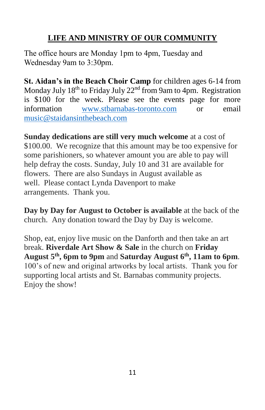## **LIFE AND MINISTRY OF OUR COMMUNITY**

The office hours are Monday 1pm to 4pm, Tuesday and Wednesday 9am to 3:30pm.

**St. Aidan's in the Beach Choir Camp** for children ages 6-14 from Monday July  $18^{th}$  to Friday July  $22^{nd}$  from 9am to 4pm. Registration is \$100 for the week. Please see the events page for more information [www.stbarnabas-toronto.com](http://www.stbarnabas-toronto.com/) or email [music@staidansinthebeach.com](mailto:music@staidansinthebeach.com)

**Sunday dedications are still very much welcome** at a cost of \$100.00. We recognize that this amount may be too expensive for some parishioners, so whatever amount you are able to pay will help defray the costs. Sunday, July 10 and 31 are available for flowers. There are also Sundays in August available as well. Please contact Lynda Davenport to make arrangements. Thank you.

**Day by Day for August to October is available** at the back of the church. Any donation toward the Day by Day is welcome.

Shop, eat, enjoy live music on the Danforth and then take an art break. **Riverdale Art Show & Sale** in the church on **Friday August 5th, 6pm to 9pm** and **Saturday August 6th, 11am to 6pm**. 100's of new and original artworks by local artists. Thank you for supporting local artists and St. Barnabas community projects. Enjoy the show!